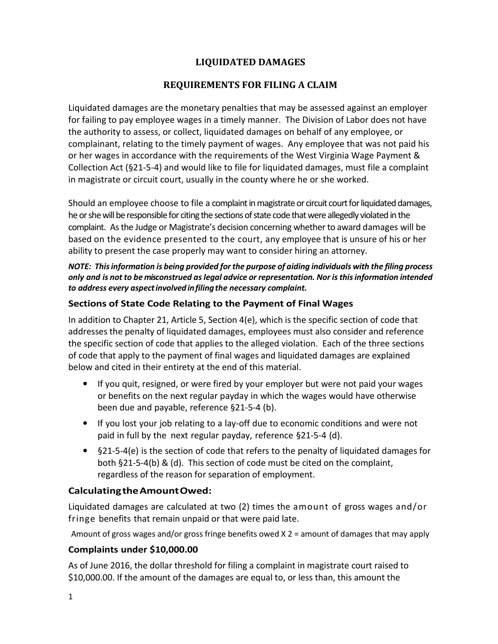# LIQUIDATED DAMAGES

# REQUIREMENTS FOR FILING A CLAIM

Liquidated damages are the monetary penalties that may be assessed against an employer for failing to pay employee wages in a timely manner. The Division of Labor does not have the authority to assess, or collect, liquidated damages on behalf of any employee, or complainant, relating to the timely payment of wages. Any employee that was not paid his or her wages in accordance with the requirements of the West Virginia Wage Payment & Collection Act (§21-5-4) and would like to file for liquidated damages, must file a complaint in magistrate or circuit court, usually in the county where he or she worked.

Should an employee choose to file a complaint in magistrate or circuit court for liquidated damages, he or she will be responsible for citing the sections of state code that were allegedly violated in the complaint. As the Judge or Magistrate's decision concerning whether to award damages will be based on the evidence presented to the court, any employee that is unsure of his or her ability to present the case properly may want to consider hiring an attorney.

NOTE: This information is being provided for the purpose of aiding individuals with the filing process only and is not to be misconstrued as legal advice or representation. Nor is this information intended to address every aspect involved in filing the necessary complaint.

### Sections of State Code Relating to the Payment of Final Wages

In addition to Chapter 21, Article 5, Section 4(e), which is the specific section of code that addresses the penalty of liquidated damages, employees must also consider and reference the specific section of code that applies to the alleged violation. Each of the three sections of code that apply to the payment of final wages and liquidated damages are explained below and cited in their entirety at the end of this material.

- If you quit, resigned, or were fired by your employer but were not paid your wages or benefits on the next regular payday in which the wages would have otherwise been due and payable, reference §21-5-4 (b).
- If you lost your job relating to a lay-off due to economic conditions and were not paid in full by the next regular payday, reference §21-5-4 (d).
- §21-5-4(e) is the section of code that refers to the penalty of liquidated damages for both §21-5-4(b) & (d). This section of code must be cited on the complaint, regardless of the reason for separation of employment.

### Calculating the Amount Owed:

Liquidated damages are calculated at two (2) times the amount of gross wages and/or fringe benefits that remain unpaid or that were paid late.

Amount of gross wages and/or gross fringe benefits owed X 2 = amount of damages that may apply

### Complaints under \$10,000.00

As of June 2016, the dollar threshold for filing a complaint in magistrate court raised to \$10,000.00. If the amount of the damages are equal to, or less than, this amount the